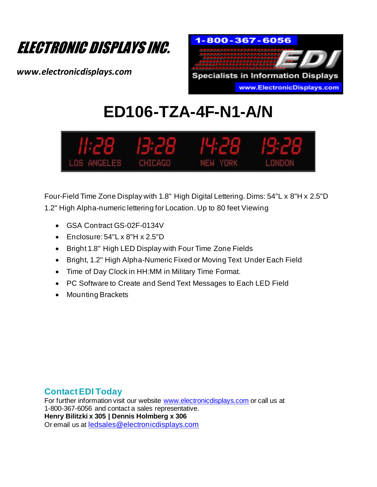

*www.electronicdisplays.com*



# **ED106-TZA-4F-N1-A/N**



Four-Field Time Zone Display with 1.8" High Digital Lettering. Dims: 54"L x 8"H x 2.5"D 1.2" High Alpha-numeric lettering for Location. Up to 80 feet Viewing

- GSA Contract GS-02F-0134V
- Enclosure: 54"L x 8"H x 2.5"D
- Bright 1.8" High LED Display with Four Time Zone Fields
- Bright, 1.2" High Alpha-Numeric Fixed or Moving Text Under Each Field
- Time of Day Clock in HH:MM in Military Time Format.
- PC Software to Create and Send Text Messages to Each LED Field
- Mounting Brackets

### **Contact EDI Today**

For further information visit our website www.electronicdisplays.com or call us at 1-800-367-6056 and contact a sales representative. **Henry Bilitzki x 305 | Dennis Holmberg x 306** Or email us at ledsales@electronicdisplays.com